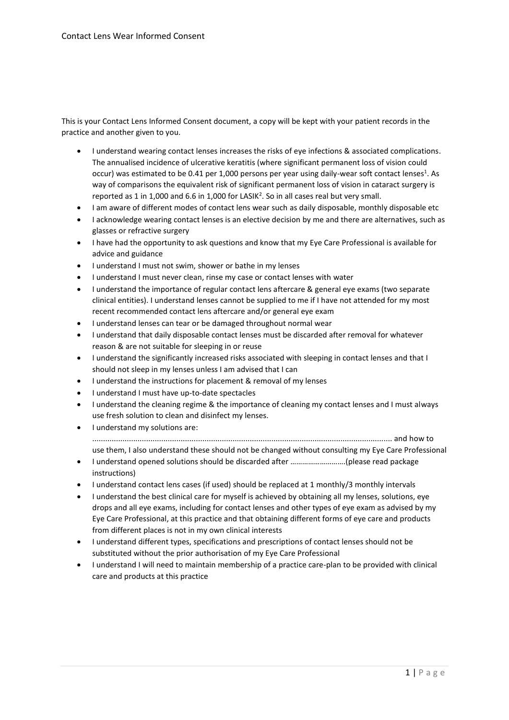This is your Contact Lens Informed Consent document, a copy will be kept with your patient records in the practice and another given to you.

- I understand wearing contact lenses increases the risks of eye infections & associated complications. The annualised incidence of ulcerative keratitis (where significant permanent loss of vision could occur) was estimated to be 0.41 per 1,000 persons per year using daily-wear soft contact lenses<sup>1</sup>. As way of comparisons the equivalent risk of significant permanent loss of vision in cataract surgery is reported as 1 in 1,000 and 6.6 in 1,000 for LASIK<sup>2</sup>. So in all cases real but very small.
- I am aware of different modes of contact lens wear such as daily disposable, monthly disposable etc
- I acknowledge wearing contact lenses is an elective decision by me and there are alternatives, such as glasses or refractive surgery
- I have had the opportunity to ask questions and know that my Eye Care Professional is available for advice and guidance
- I understand I must not swim, shower or bathe in my lenses
- I understand I must never clean, rinse my case or contact lenses with water
- I understand the importance of regular contact lens aftercare & general eye exams (two separate clinical entities). I understand lenses cannot be supplied to me if I have not attended for my most recent recommended contact lens aftercare and/or general eye exam
- I understand lenses can tear or be damaged throughout normal wear
- I understand that daily disposable contact lenses must be discarded after removal for whatever reason & are not suitable for sleeping in or reuse
- I understand the significantly increased risks associated with sleeping in contact lenses and that I should not sleep in my lenses unless I am advised that I can
- I understand the instructions for placement & removal of my lenses
- I understand I must have up-to-date spectacles
- I understand the cleaning regime & the importance of cleaning my contact lenses and I must always use fresh solution to clean and disinfect my lenses.
- I understand my solutions are: ........................................................................................................................................... and how to use them, I also understand these should not be changed without consulting my Eye Care Professional
- I understand opened solutions should be discarded after ……………………….(please read package instructions)
- I understand contact lens cases (if used) should be replaced at 1 monthly/3 monthly intervals
- I understand the best clinical care for myself is achieved by obtaining all my lenses, solutions, eye drops and all eye exams, including for contact lenses and other types of eye exam as advised by my Eye Care Professional, at this practice and that obtaining different forms of eye care and products from different places is not in my own clinical interests
- I understand different types, specifications and prescriptions of contact lenses should not be substituted without the prior authorisation of my Eye Care Professional
- I understand I will need to maintain membership of a practice care-plan to be provided with clinical care and products at this practice